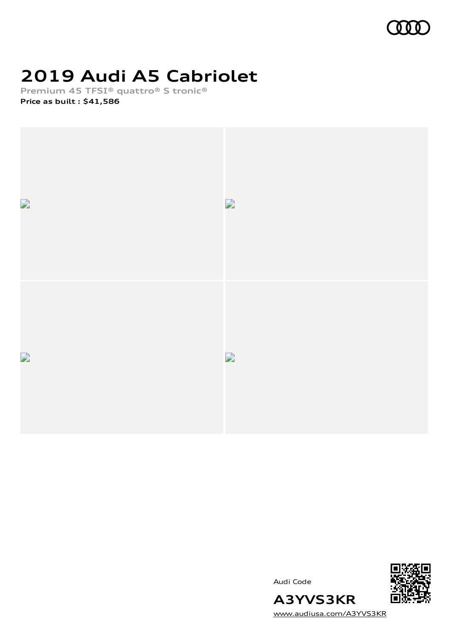

# **2019 Audi A5 Cabriolet**

**Premium 45 TFSI® quattro® S tronic®**

**Price as built [:](#page-10-0) \$41,586**





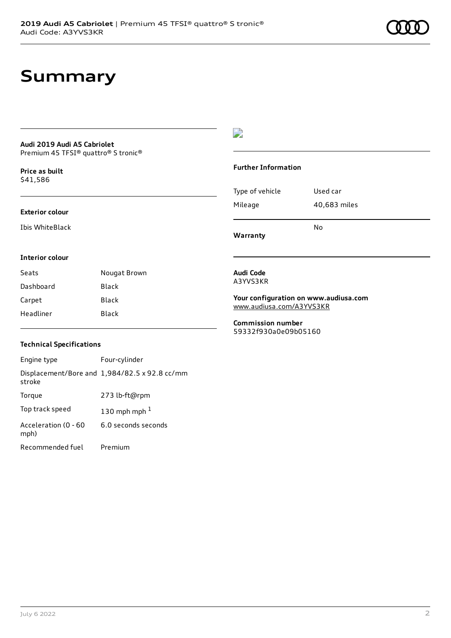### **Summary**

### **Audi 2019 Audi A5 Cabriolet**

Premium 45 TFSI® quattro® S tronic®

**Price as buil[t](#page-10-0)** \$41,586

#### **Exterior colour**

Ibis WhiteBlack

### $\overline{\phantom{a}}$

#### **Further Information**

|                 | No           |
|-----------------|--------------|
| Mileage         | 40,683 miles |
| Type of vehicle | Used car     |

**Warranty**

#### **Interior colour**

| Seats     | Nougat Brown |
|-----------|--------------|
| Dashboard | Black        |
| Carpet    | Black        |
| Headliner | Black        |

#### **Audi Code** A3YVS3KR

**Your configuration on www.audiusa.com** [www.audiusa.com/A3YVS3KR](https://www.audiusa.com/A3YVS3KR)

**Commission number** 59332f930a0e09b05160

#### **Technical Specifications**

| Engine type                  | Four-cylinder                                 |
|------------------------------|-----------------------------------------------|
| stroke                       | Displacement/Bore and 1,984/82.5 x 92.8 cc/mm |
| Torque                       | 273 lb-ft@rpm                                 |
| Top track speed              | 130 mph mph $1$                               |
| Acceleration (0 - 60<br>mph) | 6.0 seconds seconds                           |
| Recommended fuel             | Premium                                       |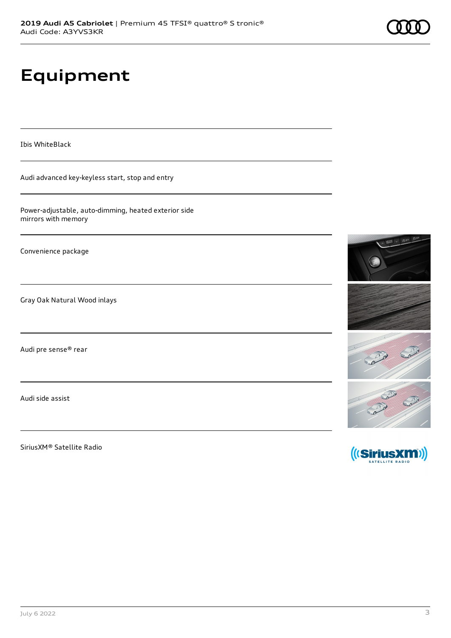# **Equipment**

Ibis WhiteBlack

Audi advanced key-keyless start, stop and entry

Power-adjustable, auto-dimming, heated exterior side mirrors with memory

Convenience package

Gray Oak Natural Wood inlays

Audi pre sense® rear

Audi side assist

SiriusXM® Satellite Radio



Card Said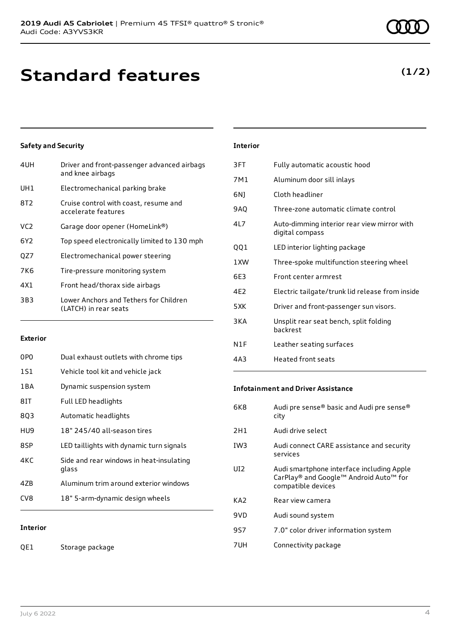### **Standard features**

### **Safety and Security**

| 4UH             | Driver and front-passenger advanced airbags<br>and knee airbags |
|-----------------|-----------------------------------------------------------------|
| UH1             | Electromechanical parking brake                                 |
| 8T <sub>2</sub> | Cruise control with coast, resume and<br>accelerate features    |
| VC2             | Garage door opener (HomeLink®)                                  |
| 6Y2             | Top speed electronically limited to 130 mph                     |
| QZ7             | Electromechanical power steering                                |
| 7K6             | Tire-pressure monitoring system                                 |
| 4X1             | Front head/thorax side airbags                                  |
| 3B3             | Lower Anchors and Tethers for Children<br>(LATCH) in rear seats |
|                 |                                                                 |

#### **Exterior**

| 0PO             | Dual exhaust outlets with chrome tips             |
|-----------------|---------------------------------------------------|
| 1S1             | Vehicle tool kit and vehicle jack                 |
| 1 B A           | Dynamic suspension system                         |
| 8IT             | Full LED headlights                               |
| 803             | Automatic headlights                              |
| HU9             | 18" 245/40 all-season tires                       |
| 8SP             | LED taillights with dynamic turn signals          |
| 4KC             | Side and rear windows in heat-insulating<br>glass |
| 47 <sub>B</sub> | Aluminum trim around exterior windows             |
| CV <sub>8</sub> | 18" 5-arm-dynamic design wheels                   |
|                 |                                                   |
| <b>Interior</b> |                                                   |

### **Interior**

| 3FT   | Fully automatic acoustic hood                                  |
|-------|----------------------------------------------------------------|
| 7M1   | Aluminum door sill inlays                                      |
| 6N)   | Cloth headliner                                                |
| 9AQ   | Three-zone automatic climate control                           |
| 41 7  | Auto-dimming interior rear view mirror with<br>digital compass |
| 001   | LED interior lighting package                                  |
| 1 XW  | Three-spoke multifunction steering wheel                       |
| 6E3   | Front center armrest                                           |
| 4E2   | Electric tailgate/trunk lid release from inside                |
| 5 X K | Driver and front-passenger sun visors.                         |
| 3 K A | Unsplit rear seat bench, split folding<br><b>backrest</b>      |
| N1F   | Leather seating surfaces                                       |
| 4A3   | Heated front seats                                             |

#### **Infotainment and Driver Assistance**

| 6K8             | Audi pre sense® basic and Audi pre sense®<br>city                                                         |
|-----------------|-----------------------------------------------------------------------------------------------------------|
| 2H1             | Audi drive select                                                                                         |
| IW <sub>3</sub> | Audi connect CARE assistance and security<br>services                                                     |
| UI2             | Audi smartphone interface including Apple<br>CarPlay® and Google™ Android Auto™ for<br>compatible devices |
| KA2             | Rear view camera                                                                                          |
| 9VD             | Audi sound system                                                                                         |
| 9S7             | 7.0" color driver information system                                                                      |
| 7UH             | Connectivity package                                                                                      |

QE1 Storage package

### **(1/2)**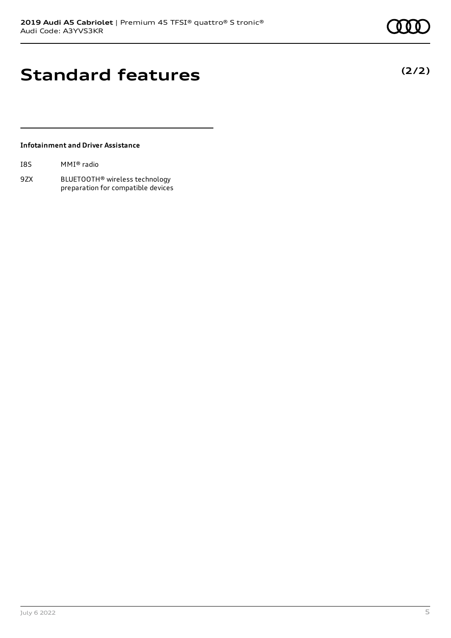**(2/2)**

### **Standard features**

#### **Infotainment and Driver Assistance**

| I8S | MMI® radio |  |
|-----|------------|--|
|-----|------------|--|

9ZX BLUETOOTH® wireless technology preparation for compatible devices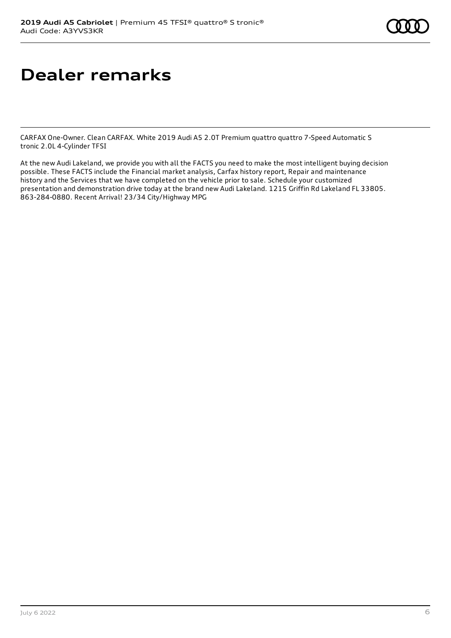### **Dealer remarks**

CARFAX One-Owner. Clean CARFAX. White 2019 Audi A5 2.0T Premium quattro quattro 7-Speed Automatic S tronic 2.0L 4-Cylinder TFSI

At the new Audi Lakeland, we provide you with all the FACTS you need to make the most intelligent buying decision possible. These FACTS include the Financial market analysis, Carfax history report, Repair and maintenance history and the Services that we have completed on the vehicle prior to sale. Schedule your customized presentation and demonstration drive today at the brand new Audi Lakeland. 1215 Griffin Rd Lakeland FL 33805. 863-284-0880. Recent Arrival! 23/34 City/Highway MPG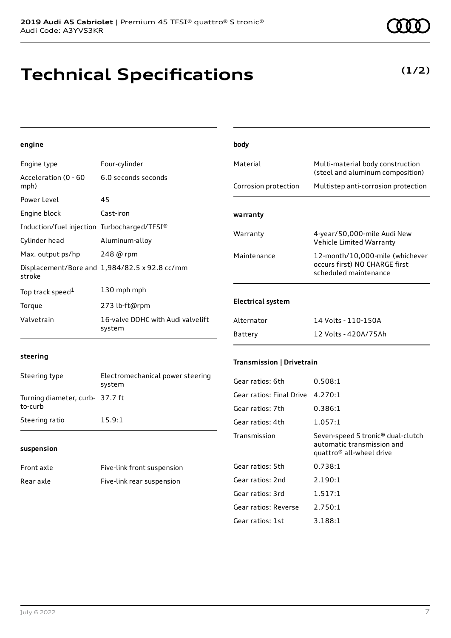## **Technical Specifications**

6.0 seconds seconds

**engine**

Acceleration (0 - 60

Engine type Four-cylinder

| mph)                                        |                                               | Corrosion protection             | Multistep anti-corrosion protection                                                                     |
|---------------------------------------------|-----------------------------------------------|----------------------------------|---------------------------------------------------------------------------------------------------------|
| Power Level                                 | 45                                            |                                  |                                                                                                         |
| Engine block                                | Cast-iron                                     | warranty                         |                                                                                                         |
| Induction/fuel injection Turbocharged/TFSI® |                                               |                                  |                                                                                                         |
| Cylinder head                               | Aluminum-alloy                                | Warranty                         | 4-year/50,000-mile Audi New<br>Vehicle Limited Warranty                                                 |
| Max. output ps/hp                           | 248 @ rpm                                     | Maintenance                      | 12-month/10,000-mile (whichever                                                                         |
| stroke                                      | Displacement/Bore and 1,984/82.5 x 92.8 cc/mm |                                  | occurs first) NO CHARGE first<br>scheduled maintenance                                                  |
| Top track speed <sup>1</sup>                | 130 mph mph                                   |                                  |                                                                                                         |
| Torque                                      | 273 lb-ft@rpm                                 | <b>Electrical system</b>         |                                                                                                         |
| Valvetrain                                  | 16-valve DOHC with Audi valvelift<br>system   | Alternator                       | 14 Volts - 110-150A                                                                                     |
|                                             |                                               | Battery                          | 12 Volts - 420A/75Ah                                                                                    |
| steering                                    |                                               | <b>Transmission   Drivetrain</b> |                                                                                                         |
| Steering type                               | Electromechanical power steering<br>system    | Gear ratios: 6th                 | 0.508:1                                                                                                 |
| Turning diameter, curb- 37.7 ft<br>to-curb  |                                               | Gear ratios: Final Drive         | 4.270:1                                                                                                 |
|                                             |                                               | Gear ratios: 7th                 | 0.386:1                                                                                                 |
| Steering ratio                              | 15.9:1                                        | Gear ratios: 4th                 | 1.057:1                                                                                                 |
| suspension                                  |                                               | Transmission                     | Seven-speed S tronic® dual-clutch<br>automatic transmission and<br>quattro <sup>®</sup> all-wheel drive |
| Front axle                                  | Five-link front suspension                    | Gear ratios: 5th                 | 0.738:1                                                                                                 |
| Rear axle                                   | Five-link rear suspension                     | Gear ratios: 2nd                 | 2.190:1                                                                                                 |

**body**

Material Multi-material body construction

Gear ratios: 3rd 1.517:1 Gear ratios: Reverse 2.750:1 Gear ratios: 1st 3.188:1

(steel and aluminum composition)

### **(1/2)**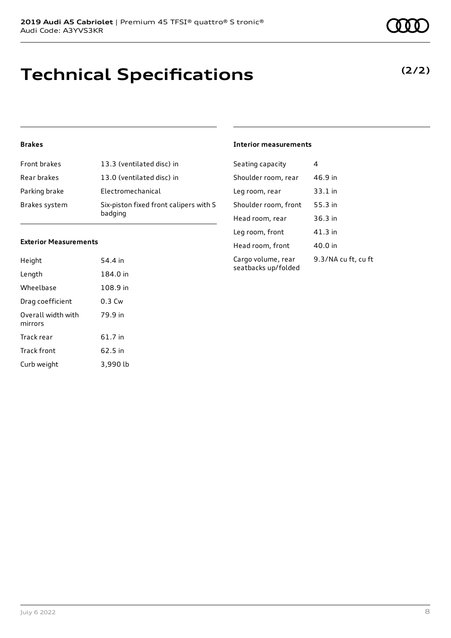# **Technical Specifications**

#### July 6 2022 8

### **Brakes**

| <b>Front brakes</b> | 13.3 (ventilated disc) in                         |
|---------------------|---------------------------------------------------|
| Rear brakes         | 13.0 (ventilated disc) in                         |
| Parking brake       | Electromechanical                                 |
| Brakes system       | Six-piston fixed front calipers with S<br>badging |

#### **Exterior Measurements**

| Height                        | 54.4 in  |
|-------------------------------|----------|
| Length                        | 184.0 in |
| Wheelbase                     | 108.9 in |
| Drag coefficient              | $0.3$ Cw |
| Overall width with<br>mirrors | 79.9 in  |
| Track rear                    | 61.7 in  |
| <b>Track front</b>            | 62.5 in  |
| Curb weight                   | 3,990 lb |

### **Interior measurements**

| Seating capacity                          | 4                   |
|-------------------------------------------|---------------------|
| Shoulder room, rear                       | 46.9 in             |
| Leg room, rear                            | 33.1 in             |
| Shoulder room, front                      | 55.3 in             |
| Head room, rear                           | 36.3 in             |
| Leg room, front                           | 41.3 in             |
| Head room, front                          | 40.0 in             |
| Cargo volume, rear<br>seatbacks up/folded | 9.3/NA cu ft, cu ft |

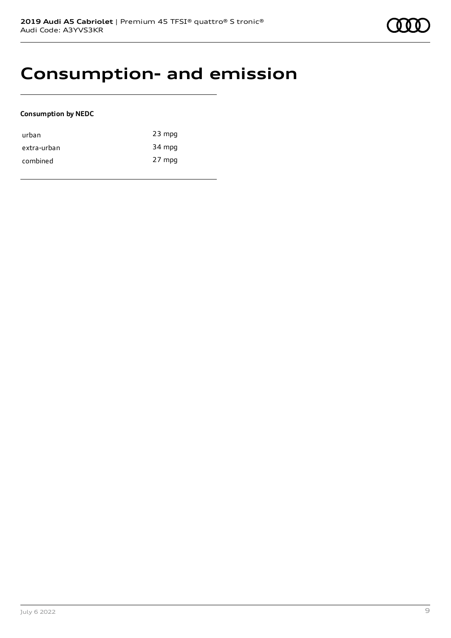

### **Consumption- and emission**

#### **Consumption by NEDC**

| urban       | $23$ mpg |
|-------------|----------|
| extra-urban | 34 mpg   |
| combined    | 27 mpg   |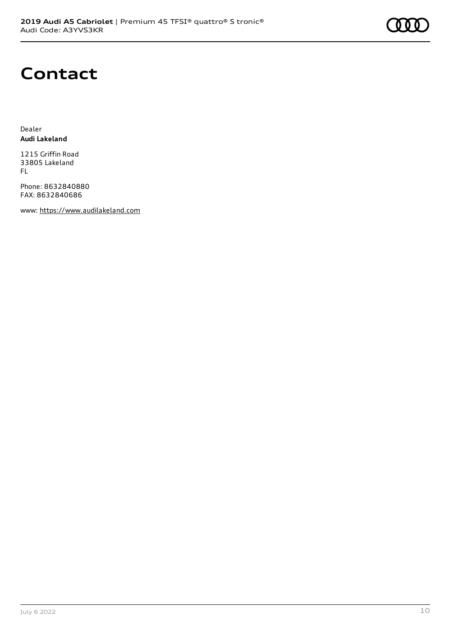

## **Contact**

Dealer **Audi Lakeland**

1215 Griffin Road 33805 Lakeland FL

Phone: 8632840880 FAX: 8632840686

www: [https://www.audilakeland.com](https://www.audilakeland.com/)